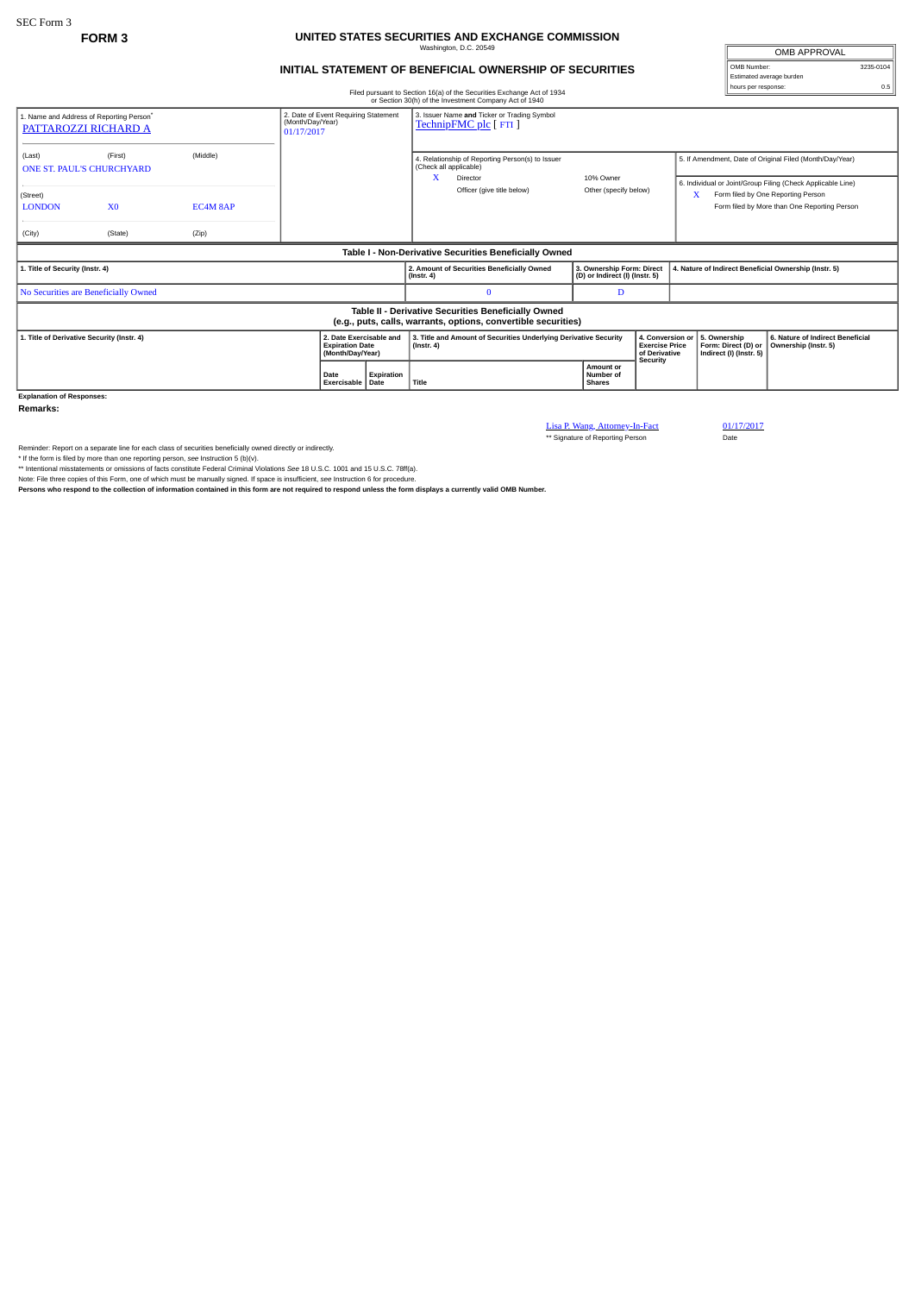## **FORM 3 UNITED STATES SECURITIES AND EXCHANGE COMMISSION** Washington, D.C. 20549

## **INITIAL STATEMENT OF BENEFICIAL OWNERSHIP OF SECURITIES**

OMB APPROVAL OMB Number: 3235-0104 Estimated average burden hours per response: 0.5

|                                                                                                                       |                            |       |  |                                                                        |            |                                                                                      | Filed pursuant to Section 16(a) of the Securities Exchange Act of 1934<br>or Section 30(h) of the Investment Company Act of 1940 |                                                                               |                       |  |                                                                                                                                                        |                                                          |  |
|-----------------------------------------------------------------------------------------------------------------------|----------------------------|-------|--|------------------------------------------------------------------------|------------|--------------------------------------------------------------------------------------|----------------------------------------------------------------------------------------------------------------------------------|-------------------------------------------------------------------------------|-----------------------|--|--------------------------------------------------------------------------------------------------------------------------------------------------------|----------------------------------------------------------|--|
| 1. Name and Address of Reporting Person <sup>*</sup><br>PATTAROZZI RICHARD A                                          |                            |       |  | 2. Date of Event Requiring Statement<br>(Month/Day/Year)<br>01/17/2017 |            |                                                                                      | 3. Issuer Name and Ticker or Trading Symbol<br>TechnipFMC plc [ FTI ]                                                            |                                                                               |                       |  |                                                                                                                                                        |                                                          |  |
| (Middle)<br>(First)<br>(Last)<br><b>ONE ST. PAUL'S CHURCHYARD</b>                                                     |                            |       |  |                                                                        |            |                                                                                      | 4. Relationship of Reporting Person(s) to Issuer<br>(Check all applicable)<br>x<br>Director                                      |                                                                               | 10% Owner             |  | 5. If Amendment, Date of Original Filed (Month/Day/Year)                                                                                               |                                                          |  |
| (Street)<br><b>LONDON</b>                                                                                             | X <sub>0</sub><br>EC4M 8AP |       |  |                                                                        |            |                                                                                      | Officer (give title below)                                                                                                       |                                                                               | Other (specify below) |  | 6. Individual or Joint/Group Filing (Check Applicable Line)<br>х<br>Form filed by One Reporting Person<br>Form filed by More than One Reporting Person |                                                          |  |
| (City)                                                                                                                | (State)                    | (Zip) |  |                                                                        |            |                                                                                      |                                                                                                                                  |                                                                               |                       |  |                                                                                                                                                        |                                                          |  |
| Table I - Non-Derivative Securities Beneficially Owned                                                                |                            |       |  |                                                                        |            |                                                                                      |                                                                                                                                  |                                                                               |                       |  |                                                                                                                                                        |                                                          |  |
| 1. Title of Security (Instr. 4)                                                                                       |                            |       |  |                                                                        |            | $($ Instr. 4 $)$                                                                     | 2. Amount of Securities Beneficially Owned                                                                                       | 3. Ownership Form: Direct<br>(D) or Indirect (I) (Instr. 5)                   |                       |  | 4. Nature of Indirect Beneficial Ownership (Instr. 5)                                                                                                  |                                                          |  |
| No Securities are Beneficially Owned                                                                                  |                            |       |  |                                                                        |            |                                                                                      | $\Omega$                                                                                                                         | D                                                                             |                       |  |                                                                                                                                                        |                                                          |  |
| Table II - Derivative Securities Beneficially Owned<br>(e.g., puts, calls, warrants, options, convertible securities) |                            |       |  |                                                                        |            |                                                                                      |                                                                                                                                  |                                                                               |                       |  |                                                                                                                                                        |                                                          |  |
| 1. Title of Derivative Security (Instr. 4)                                                                            |                            |       |  | 2. Date Exercisable and<br><b>Expiration Date</b><br>(Month/Day/Year)  |            | 3. Title and Amount of Securities Underlying Derivative Security<br>$($ Instr. 4 $)$ |                                                                                                                                  | 4. Conversion or<br><b>Exercise Price</b><br>of Derivative<br><b>Security</b> |                       |  | 5. Ownership<br>Form: Direct (D) or<br>Indirect (I) (Instr. 5)                                                                                         | 6. Nature of Indirect Beneficial<br>Ownership (Instr. 5) |  |
|                                                                                                                       |                            |       |  | Date<br>Exercisable   Date                                             | Expiration | Title                                                                                |                                                                                                                                  | Amount or<br>Number of<br><b>Shares</b>                                       |                       |  |                                                                                                                                                        |                                                          |  |
| <b>Explanation of Responses:</b>                                                                                      |                            |       |  |                                                                        |            |                                                                                      |                                                                                                                                  |                                                                               |                       |  |                                                                                                                                                        |                                                          |  |

**Remarks:**

Lisa P. Wang, Attorney-In-Fact 01/17/2017<br>\*\* Signature of Reporting Person Date

Reminder: Report on a separate line for each class of securities beneficially owned directly or indirectly.<br>\* If the form is filed by more than one reporting person, see Instruction 5 (b)(v).<br>\* Intentional misstatements or